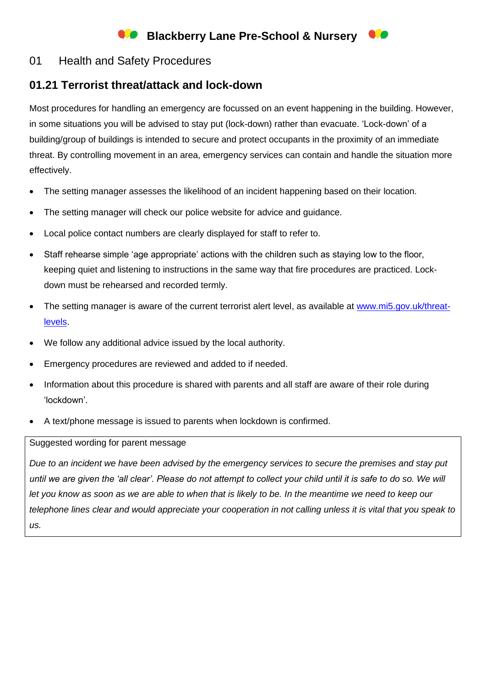# **Blackberry Lane Pre-School & Nursery**

### 01 Health and Safety Procedures

## **01.21 Terrorist threat/attack and lock-down**

Most procedures for handling an emergency are focussed on an event happening in the building. However, in some situations you will be advised to stay put (lock-down) rather than evacuate. 'Lock-down' of a building/group of buildings is intended to secure and protect occupants in the proximity of an immediate threat. By controlling movement in an area, emergency services can contain and handle the situation more effectively.

- The setting manager assesses the likelihood of an incident happening based on their location.
- The setting manager will check our police website for advice and guidance.
- Local police contact numbers are clearly displayed for staff to refer to.
- Staff rehearse simple 'age appropriate' actions with the children such as staying low to the floor, keeping quiet and listening to instructions in the same way that fire procedures are practiced. Lockdown must be rehearsed and recorded termly.
- The setting manager is aware of the current terrorist alert level, as available at [www.mi5.gov.uk/threat](http://www.mi5.gov.uk/threat-levels)[levels.](http://www.mi5.gov.uk/threat-levels)
- We follow any additional advice issued by the local authority.
- Emergency procedures are reviewed and added to if needed.
- Information about this procedure is shared with parents and all staff are aware of their role during 'lockdown'.
- A text/phone message is issued to parents when lockdown is confirmed.

#### Suggested wording for parent message

*Due to an incident we have been advised by the emergency services to secure the premises and stay put until we are given the 'all clear'. Please do not attempt to collect your child until it is safe to do so. We will let you know as soon as we are able to when that is likely to be. In the meantime we need to keep our telephone lines clear and would appreciate your cooperation in not calling unless it is vital that you speak to us.*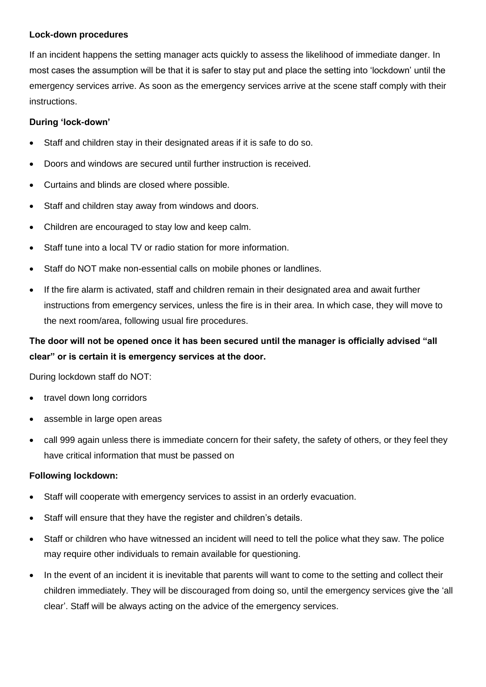#### **Lock-down procedures**

If an incident happens the setting manager acts quickly to assess the likelihood of immediate danger. In most cases the assumption will be that it is safer to stay put and place the setting into 'lockdown' until the emergency services arrive. As soon as the emergency services arrive at the scene staff comply with their instructions.

### **During 'lock-down'**

- Staff and children stay in their designated areas if it is safe to do so.
- Doors and windows are secured until further instruction is received.
- Curtains and blinds are closed where possible.
- Staff and children stay away from windows and doors.
- Children are encouraged to stay low and keep calm.
- Staff tune into a local TV or radio station for more information.
- Staff do NOT make non-essential calls on mobile phones or landlines.
- If the fire alarm is activated, staff and children remain in their designated area and await further instructions from emergency services, unless the fire is in their area. In which case, they will move to the next room/area, following usual fire procedures.

## **The door will not be opened once it has been secured until the manager is officially advised "all clear" or is certain it is emergency services at the door.**

During lockdown staff do NOT:

- travel down long corridors
- assemble in large open areas
- call 999 again unless there is immediate concern for their safety, the safety of others, or they feel they have critical information that must be passed on

### **Following lockdown:**

- Staff will cooperate with emergency services to assist in an orderly evacuation.
- Staff will ensure that they have the register and children's details.
- Staff or children who have witnessed an incident will need to tell the police what they saw. The police may require other individuals to remain available for questioning.
- In the event of an incident it is inevitable that parents will want to come to the setting and collect their children immediately. They will be discouraged from doing so, until the emergency services give the 'all clear'. Staff will be always acting on the advice of the emergency services.